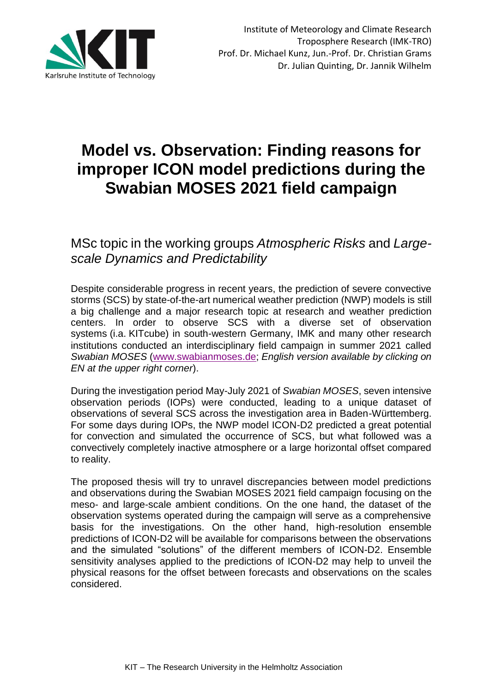

## **Model vs. Observation: Finding reasons for improper ICON model predictions during the Swabian MOSES 2021 field campaign**

## MSc topic in the working groups *Atmospheric Risks* and *Largescale Dynamics and Predictability*

Despite considerable progress in recent years, the prediction of severe convective storms (SCS) by state-of-the-art numerical weather prediction (NWP) models is still a big challenge and a major research topic at research and weather prediction centers. In order to observe SCS with a diverse set of observation systems (i.a. KITcube) in south-western Germany, IMK and many other research institutions conducted an interdisciplinary field campaign in summer 2021 called *Swabian MOSES* [\(www.swabianmoses.de;](http://www.swabianmoses.de/) *English version available by clicking on EN at the upper right corner*).

During the investigation period May-July 2021 of *Swabian MOSES*, seven intensive observation periods (IOPs) were conducted, leading to a unique dataset of observations of several SCS across the investigation area in Baden-Württemberg. For some days during IOPs, the NWP model ICON-D2 predicted a great potential for convection and simulated the occurrence of SCS, but what followed was a convectively completely inactive atmosphere or a large horizontal offset compared to reality.

The proposed thesis will try to unravel discrepancies between model predictions and observations during the Swabian MOSES 2021 field campaign focusing on the meso- and large-scale ambient conditions. On the one hand, the dataset of the observation systems operated during the campaign will serve as a comprehensive basis for the investigations. On the other hand, high-resolution ensemble predictions of ICON-D2 will be available for comparisons between the observations and the simulated "solutions" of the different members of ICON-D2. Ensemble sensitivity analyses applied to the predictions of ICON-D2 may help to unveil the physical reasons for the offset between forecasts and observations on the scales considered.